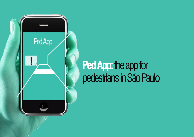

# **Ped App:** the app for pedestrians in São Paulo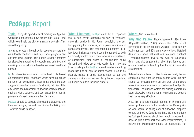**PedApp:** Report

**Topic:** Study de opportunity of creating an App that would help pedestrians move around São Paulo – and which would help the city to maintain sidewalks. This would happen by:

**a.** Having a system through which people can share info on sidewalk conditions, and City Planning agency can get first-hand updates. This should create a strategy for sidewalks upgrading, by establishing priorities and unveiling places where sidewalks are most used and needed;

**b.** An interactive map would show best routs based on community input and those which have the largest numbers of 'complaints'. Best routs could be also suggested based on previous 'walkability' studies of the city, which should consider "sidewalks characteristics", such as width, adjacent land use, proximity to transit, presence of street trees and urban furniture.

PedApp should be capable of measuring distances and time, encouraging people to walk instead of taking cars – or even public transport.

**What I learned:** PedApp could be an important tool to help create strategies on how to 'measure' sidewalks quality in São Paulo, identifying priorities for upgrading these spaces, and explore techniques of public engagement. This tool could be a bottom-up  $+$ top-down built map, since it could be updated by both community and the City. It could work as a surveillance, or supervision, tool where all stakeholders could demand and follow-up on city works. It is important to acknowledge that PedApp should also be something more than just an App for smart phones: it could be possibly placed in public spaces such as bus and subways stations and accessible by home computers, so it could be a true inclusive platform.

#### **Where:** São Paulo, Brazil

**Why São Paulo?** Recent survey in São Paulo (Origin-Destination, 2007) shows that 30% of all commutes in the city are done walking – other 30% by public transport and 30% on private vehicles. Detailed data on this shows that most walks are done to school – meaning children have to deal with our sidewalks daily – and also suggests that short trips done by bus or cars could be replaced by foot transit, if sidewalks are attractive.

Sidewalks conditions in São Paulo are really below acceptable and since so many people walk, the city should be investing more on this type of transport (most investments are done on road network and public transport). The current system for placing complaints about sidewalks is done through telephone and doesn't seem to be very effective.

Also, this is a very special moment for bringing this issue up: there's current a debate in the Municipality on who should be taking care of sidewalks, property owners or the City. Considering that 30% trips are done by foot (and thinking about how much investment is done on public transport and roads improvements) I believe the Municipality should be responsible for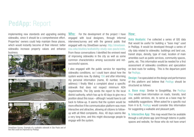

implementing new standards and upgrading existing sidewalks, since it should be a comprehensive effort. Properties' owners could help maintain these places, which would instantly become of their interest: better sidewalks increase property values and enhance business.



**Who:** For the development of the project I have engaged with local designers, through informal interviews/survey and with the general public that engaged with my StreetSeen survey: http://streetseen. osu.edu/studies/walkability-study-sao-paulo/vote. From these conversations I identified the eminent need of improving sidewalks in the city as well as some common characteristics among successful and notsuccessful spaces.

also engaged with the public service for reporting sidewalks conditions, so I could learn about how the system works now. By dialing 156 and after informing my personal information (name, ID number, home address) I finally filled a complaint about a specific sidewalk that does not respect minimum ADA requirements. The City sends the report to the local district authority, which has up to 40 days to give me a position about this issue – although I would have to call back to follow-up. It seems that the system would be more effective if the communication platform was more interactive and attractive, allowing all citizens to followup with all filled complaints. Also, 40 days seems like a very long time, and this might discourage people to engage with the system.

### **How:**

**Data Analysis:** I've collected a series of GIS data that would be useful for building a "base map" used in PedApp. It would be developed through a series of city data related to sidewalks: buildings and land use, transit stops, density, type of road, location of main amenities such as public services, community spaces, parks, etc. This information would be needed for a first assessment of sidewalks conditions and speculation on best routs for walking. This is the departure point for PedApp.

**Design:** I've speculated on the design and performance of this platform and believe that PedApp should be structured as follows:

**a. Base map:** Similar to GoogleMap, the PedApp Map would have information on roads, transits, land use, public services, etc, to serve as a base map for walkability suggestions. When asked for a specific rout from A to B, PedApp would consider this information for suggesting a walkable and pleasant path;

**b. Interactive App:** This map would then be available through a cell phone app (and through totems in public spaces and website, for those who do not have smart

StreetSeen Survey: Example of a walkable sidewalk in São Paulo and of two that could be improved by PedApp